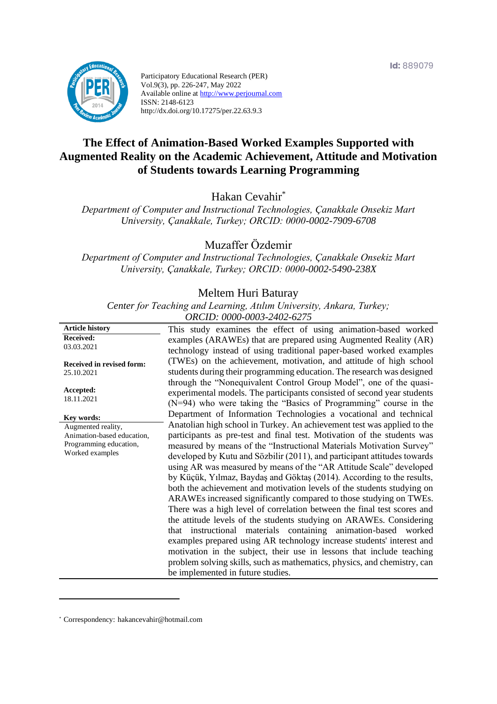

Participatory Educational Research (PER) Vol.9(3), pp. 226-247, May 2022 Available online at http://www.perjournal.com ISSN: 2148-6123 http://dx.doi.org/10.17275/per.22.63.9.3

# **The Effect of Animation-Based Worked Examples Supported with Augmented Reality on the Academic Achievement, Attitude and Motivation of Students towards Learning Programming**

Hakan Cevahir\*

*Department of Computer and Instructional Technologies, Çanakkale Onsekiz Mart University, Çanakkale, Turkey; ORCID: 0000-0002-7909-6708*

Muzaffer Özdemir

*Department of Computer and Instructional Technologies, Çanakkale Onsekiz Mart University, Çanakkale, Turkey; ORCID: 0000-0002-5490-238X*

#### Meltem Huri Baturay

*Center for Teaching and Learning, Atılım University, Ankara, Turkey; ORCID: 0000-0003-2402-6275*

|                                                | $0.0101$ . 0000 0000 2102 027.                                                                                                                                                                                     |
|------------------------------------------------|--------------------------------------------------------------------------------------------------------------------------------------------------------------------------------------------------------------------|
| <b>Article history</b>                         | This study examines the effect of using animation-based worked                                                                                                                                                     |
| <b>Received:</b>                               | examples (ARAWEs) that are prepared using Augmented Reality (AR)                                                                                                                                                   |
| 03.03.2021                                     | technology instead of using traditional paper-based worked examples                                                                                                                                                |
| <b>Received in revised form:</b><br>25.10.2021 | (TWEs) on the achievement, motivation, and attitude of high school<br>students during their programming education. The research was designed<br>through the "Nonequivalent Control Group Model", one of the quasi- |
| Accepted:                                      | experimental models. The participants consisted of second year students                                                                                                                                            |
| 18.11.2021                                     | (N=94) who were taking the "Basics of Programming" course in the                                                                                                                                                   |
| Key words:                                     | Department of Information Technologies a vocational and technical                                                                                                                                                  |
| Augmented reality,                             | Anatolian high school in Turkey. An achievement test was applied to the                                                                                                                                            |
| Animation-based education,                     | participants as pre-test and final test. Motivation of the students was                                                                                                                                            |
| Programming education,                         | measured by means of the "Instructional Materials Motivation Survey"                                                                                                                                               |
| Worked examples                                | developed by Kutu and Sözbilir (2011), and participant attitudes towards                                                                                                                                           |
|                                                | using AR was measured by means of the "AR Attitude Scale" developed                                                                                                                                                |
|                                                | by Küçük, Yılmaz, Baydaş and Göktaş (2014). According to the results,                                                                                                                                              |
|                                                | both the achievement and motivation levels of the students studying on                                                                                                                                             |
|                                                | ARAWEs increased significantly compared to those studying on TWEs.                                                                                                                                                 |
|                                                | There was a high level of correlation between the final test scores and                                                                                                                                            |
|                                                | the attitude levels of the students studying on ARAWEs. Considering                                                                                                                                                |
|                                                | that instructional materials containing animation-based worked                                                                                                                                                     |
|                                                | examples prepared using AR technology increase students' interest and                                                                                                                                              |
|                                                | motivation in the subject, their use in lessons that include teaching                                                                                                                                              |
|                                                | problem solving skills, such as mathematics, physics, and chemistry, can                                                                                                                                           |
|                                                | be implemented in future studies.                                                                                                                                                                                  |
|                                                |                                                                                                                                                                                                                    |

<sup>\*</sup> [Correspondency:](mailto:Correspondency:) hakancevahir@hotmail.com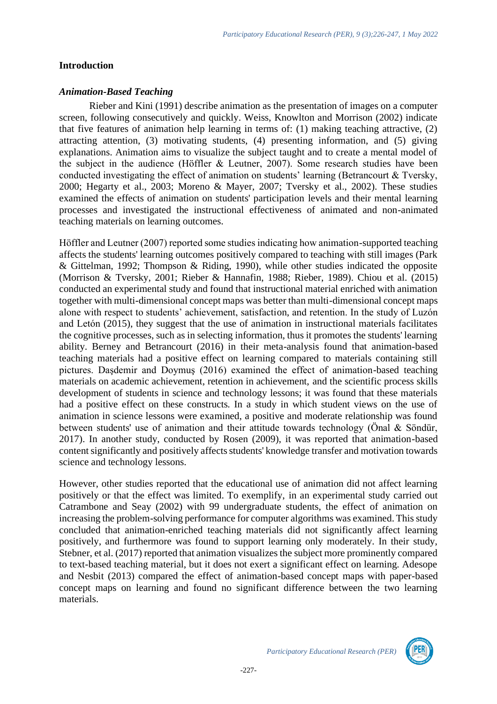#### **Introduction**

#### *Animation-Based Teaching*

Rieber and Kini (1991) describe animation as the presentation of images on a computer screen, following consecutively and quickly. Weiss, Knowlton and Morrison (2002) indicate that five features of animation help learning in terms of: (1) making teaching attractive, (2) attracting attention, (3) motivating students, (4) presenting information, and (5) giving explanations. Animation aims to visualize the subject taught and to create a mental model of the subject in the audience (Höffler & Leutner, 2007). Some research studies have been conducted investigating the effect of animation on students' learning (Betrancourt & Tversky, 2000; Hegarty et al., 2003; Moreno & Mayer, 2007; Tversky et al., 2002). These studies examined the effects of animation on students' participation levels and their mental learning processes and investigated the instructional effectiveness of animated and non-animated teaching materials on learning outcomes.

Höffler and Leutner (2007) reported some studies indicating how animation-supported teaching affects the students' learning outcomes positively compared to teaching with still images (Park & Gittelman, 1992; Thompson & Riding, 1990), while other studies indicated the opposite (Morrison & Tversky, 2001; Rieber & Hannafin, 1988; Rieber, 1989). Chiou et al. (2015) conducted an experimental study and found that instructional material enriched with animation together with multi-dimensional concept maps was better than multi-dimensional concept maps alone with respect to students' achievement, satisfaction, and retention. In the study of Luzόn and Letόn (2015), they suggest that the use of animation in instructional materials facilitates the cognitive processes, such as in selecting information, thus it promotes the students' learning ability. Berney and Betrancourt (2016) in their meta-analysis found that animation-based teaching materials had a positive effect on learning compared to materials containing still pictures. Daşdemir and Doymuş (2016) examined the effect of animation-based teaching materials on academic achievement, retention in achievement, and the scientific process skills development of students in science and technology lessons; it was found that these materials had a positive effect on these constructs. In a study in which student views on the use of animation in science lessons were examined, a positive and moderate relationship was found between students' use of animation and their attitude towards technology (Önal & Söndür, 2017). In another study, conducted by Rosen (2009), it was reported that animation-based content significantly and positively affects students' knowledge transfer and motivation towards science and technology lessons.

However, other studies reported that the educational use of animation did not affect learning positively or that the effect was limited. To exemplify, in an experimental study carried out Catrambone and Seay (2002) with 99 undergraduate students, the effect of animation on increasing the problem-solving performance for computer algorithms was examined. This study concluded that animation-enriched teaching materials did not significantly affect learning positively, and furthermore was found to support learning only moderately. In their study, Stebner, et al. (2017) reported that animation visualizes the subject more prominently compared to text-based teaching material, but it does not exert a significant effect on learning. Adesope and Nesbit (2013) compared the effect of animation-based concept maps with paper-based concept maps on learning and found no significant difference between the two learning materials.

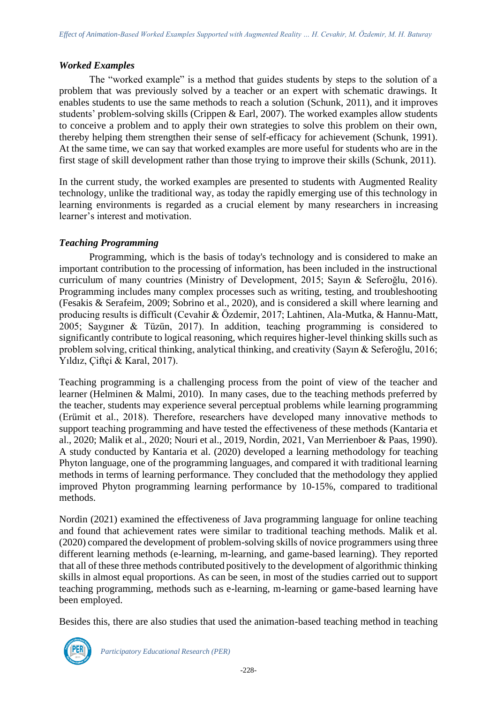#### *Worked Examples*

The "worked example" is a method that guides students by steps to the solution of a problem that was previously solved by a teacher or an expert with schematic drawings. It enables students to use the same methods to reach a solution (Schunk, 2011), and it improves students' problem-solving skills (Crippen & Earl, 2007). The worked examples allow students to conceive a problem and to apply their own strategies to solve this problem on their own, thereby helping them strengthen their sense of self-efficacy for achievement (Schunk, 1991). At the same time, we can say that worked examples are more useful for students who are in the first stage of skill development rather than those trying to improve their skills (Schunk, 2011).

In the current study, the worked examples are presented to students with Augmented Reality technology, unlike the traditional way, as today the rapidly emerging use of this technology in learning environments is regarded as a crucial element by many researchers in increasing learner's interest and motivation.

# *Teaching Programming*

Programming, which is the basis of today's technology and is considered to make an important contribution to the processing of information, has been included in the instructional curriculum of many countries (Ministry of Development, 2015; Sayın & Seferoğlu, 2016). Programming includes many complex processes such as writing, testing, and troubleshooting (Fesakis & Serafeim, 2009; Sobrino et al., 2020), and is considered a skill where learning and producing results is difficult (Cevahir & Özdemir, 2017; Lahtinen, Ala-Mutka, & Hannu-Matt, 2005; Saygıner & Tüzün, 2017). In addition, teaching programming is considered to significantly contribute to logical reasoning, which requires higher-level thinking skills such as problem solving, critical thinking, analytical thinking, and creativity (Sayın & Seferoğlu, 2016; Yıldız, Çiftçi & Karal, 2017).

Teaching programming is a challenging process from the point of view of the teacher and learner (Helminen & Malmi, 2010). In many cases, due to the teaching methods preferred by the teacher, students may experience several perceptual problems while learning programming (Erümit et al., 2018). Therefore, researchers have developed many innovative methods to support teaching programming and have tested the effectiveness of these methods (Kantaria et al., 2020; Malik et al., 2020; Nouri et al., 2019, Nordin, 2021, Van Merrienboer & Paas, 1990). A study conducted by Kantaria et al. (2020) developed a learning methodology for teaching Phyton language, one of the programming languages, and compared it with traditional learning methods in terms of learning performance. They concluded that the methodology they applied improved Phyton programming learning performance by 10-15%, compared to traditional methods.

Nordin (2021) examined the effectiveness of Java programming language for online teaching and found that achievement rates were similar to traditional teaching methods. Malik et al. (2020) compared the development of problem-solving skills of novice programmers using three different learning methods (e-learning, m-learning, and game-based learning). They reported that all of these three methods contributed positively to the development of algorithmic thinking skills in almost equal proportions. As can be seen, in most of the studies carried out to support teaching programming, methods such as e-learning, m-learning or game-based learning have been employed.

Besides this, there are also studies that used the animation-based teaching method in teaching

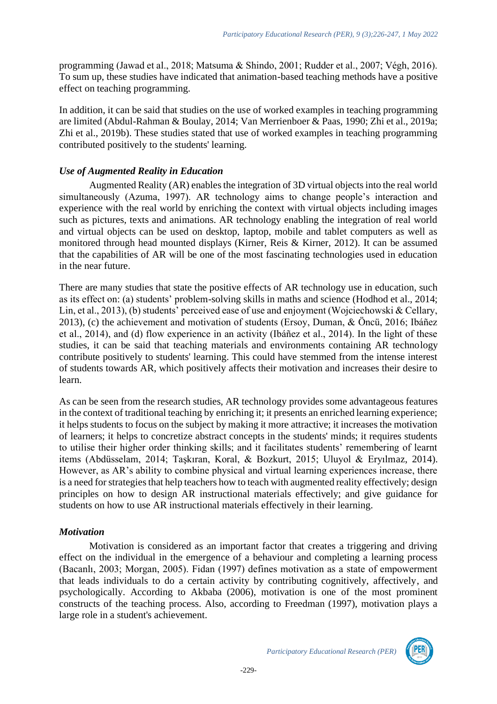programming (Jawad et al., 2018; Matsuma & Shindo, 2001; Rudder et al., 2007; Végh, 2016). To sum up, these studies have indicated that animation-based teaching methods have a positive effect on teaching programming.

In addition, it can be said that studies on the use of worked examples in teaching programming are limited (Abdul-Rahman & Boulay, 2014; Van Merrienboer & Paas, 1990; Zhi et al., 2019a; Zhi et al., 2019b). These studies stated that use of worked examples in teaching programming contributed positively to the students' learning.

# *Use of Augmented Reality in Education*

Augmented Reality (AR) enables the integration of 3D virtual objects into the real world simultaneously (Azuma, 1997). AR technology aims to change people's interaction and experience with the real world by enriching the context with virtual objects including images such as pictures, texts and animations. AR technology enabling the integration of real world and virtual objects can be used on desktop, laptop, mobile and tablet computers as well as monitored through head mounted displays (Kirner, Reis & Kirner, 2012). It can be assumed that the capabilities of AR will be one of the most fascinating technologies used in education in the near future.

There are many studies that state the positive effects of AR technology use in education, such as its effect on: (a) students' problem-solving skills in maths and science (Hodhod et al., 2014; Lin, et al., 2013), (b) students' perceived ease of use and enjoyment (Wojciechowski & Cellary, 2013), (c) the achievement and motivation of students (Ersoy, Duman, & Öncü, 2016; Ibáñez et al., 2014), and (d) flow experience in an activity (Ibáñez et al., 2014). In the light of these studies, it can be said that teaching materials and environments containing AR technology contribute positively to students' learning. This could have stemmed from the intense interest of students towards AR, which positively affects their motivation and increases their desire to learn.

As can be seen from the research studies, AR technology provides some advantageous features in the context of traditional teaching by enriching it; it presents an enriched learning experience; it helps students to focus on the subject by making it more attractive; it increases the motivation of learners; it helps to concretize abstract concepts in the students' minds; it requires students to utilise their higher order thinking skills; and it facilitates students' remembering of learnt items (Abdüsselam, 2014; Taşkıran, Koral, & Bozkurt, 2015; Uluyol & Eryılmaz, 2014). However, as AR's ability to combine physical and virtual learning experiences increase, there is a need for strategies that help teachers how to teach with augmented reality effectively; design principles on how to design AR instructional materials effectively; and give guidance for students on how to use AR instructional materials effectively in their learning.

# *Motivation*

Motivation is considered as an important factor that creates a triggering and driving effect on the individual in the emergence of a behaviour and completing a learning process (Bacanlı, 2003; Morgan, 2005). Fidan (1997) defines motivation as a state of empowerment that leads individuals to do a certain activity by contributing cognitively, affectively, and psychologically. According to Akbaba (2006), motivation is one of the most prominent constructs of the teaching process. Also, according to Freedman (1997), motivation plays a large role in a student's achievement.

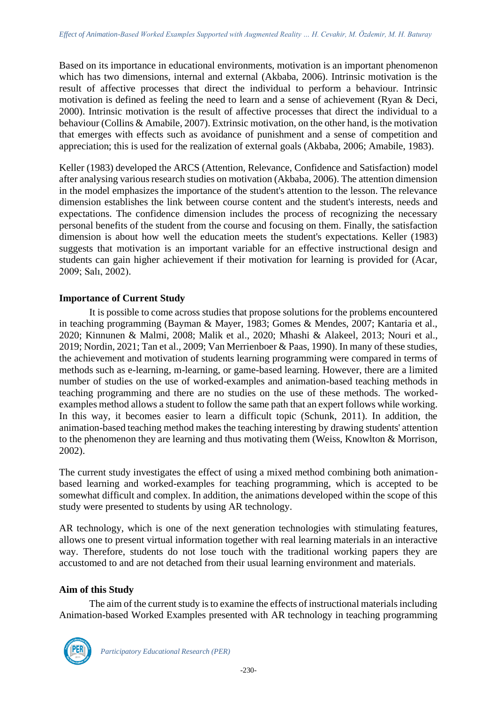Based on its importance in educational environments, motivation is an important phenomenon which has two dimensions, internal and external (Akbaba, 2006). Intrinsic motivation is the result of affective processes that direct the individual to perform a behaviour. Intrinsic motivation is defined as feeling the need to learn and a sense of achievement (Ryan & Deci, 2000). Intrinsic motivation is the result of affective processes that direct the individual to a behaviour (Collins & Amabile, 2007). Extrinsic motivation, on the other hand, is the motivation that emerges with effects such as avoidance of punishment and a sense of competition and appreciation; this is used for the realization of external goals (Akbaba, 2006; Amabile, 1983).

Keller (1983) developed the ARCS (Attention, Relevance, Confidence and Satisfaction) model after analysing various research studies on motivation (Akbaba, 2006). The attention dimension in the model emphasizes the importance of the student's attention to the lesson. The relevance dimension establishes the link between course content and the student's interests, needs and expectations. The confidence dimension includes the process of recognizing the necessary personal benefits of the student from the course and focusing on them. Finally, the satisfaction dimension is about how well the education meets the student's expectations. Keller (1983) suggests that motivation is an important variable for an effective instructional design and students can gain higher achievement if their motivation for learning is provided for (Acar, 2009; Salı, 2002).

# **Importance of Current Study**

It is possible to come across studies that propose solutions for the problems encountered in teaching programming (Bayman & Mayer, 1983; Gomes & Mendes, 2007; Kantaria et al., 2020; Kinnunen & Malmi, 2008; Malik et al., 2020; Mhashi & Alakeel, 2013; Nouri et al., 2019; Nordin, 2021; Tan et al., 2009; Van Merrienboer & Paas, 1990). In many of these studies, the achievement and motivation of students learning programming were compared in terms of methods such as e-learning, m-learning, or game-based learning. However, there are a limited number of studies on the use of worked-examples and animation-based teaching methods in teaching programming and there are no studies on the use of these methods. The workedexamples method allows a student to follow the same path that an expert follows while working. In this way, it becomes easier to learn a difficult topic (Schunk, 2011). In addition, the animation-based teaching method makes the teaching interesting by drawing students' attention to the phenomenon they are learning and thus motivating them (Weiss, Knowlton & Morrison, 2002).

The current study investigates the effect of using a mixed method combining both animationbased learning and worked-examples for teaching programming, which is accepted to be somewhat difficult and complex. In addition, the animations developed within the scope of this study were presented to students by using AR technology.

AR technology, which is one of the next generation technologies with stimulating features, allows one to present virtual information together with real learning materials in an interactive way. Therefore, students do not lose touch with the traditional working papers they are accustomed to and are not detached from their usual learning environment and materials.

# **Aim of this Study**

The aim of the current study is to examine the effects of instructional materials including Animation-based Worked Examples presented with AR technology in teaching programming

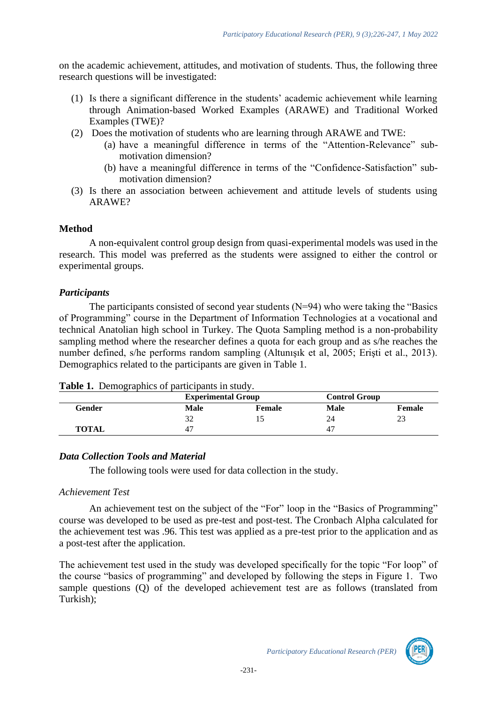on the academic achievement, attitudes, and motivation of students. Thus, the following three research questions will be investigated:

- (1) Is there a significant difference in the students' academic achievement while learning through Animation-based Worked Examples (ARAWE) and Traditional Worked Examples (TWE)?
- (2) Does the motivation of students who are learning through ARAWE and TWE:
	- (a) have a meaningful difference in terms of the "Attention-Relevance" submotivation dimension?
	- (b) have a meaningful difference in terms of the "Confidence-Satisfaction" submotivation dimension?
- (3) Is there an association between achievement and attitude levels of students using ARAWE?

#### **Method**

A non-equivalent control group design from quasi-experimental models was used in the research. This model was preferred as the students were assigned to either the control or experimental groups.

#### *Participants*

The participants consisted of second year students  $(N=94)$  who were taking the "Basics" of Programming" course in the Department of Information Technologies at a vocational and technical Anatolian high school in Turkey. The Quota Sampling method is a non-probability sampling method where the researcher defines a quota for each group and as s/he reaches the number defined, s/he performs random sampling (Altunışık et al, 2005; Erişti et al., 2013). Demographics related to the participants are given in Table 1.

|  | Table 1. Demographics of participants in study. |  |  |  |
|--|-------------------------------------------------|--|--|--|
|--|-------------------------------------------------|--|--|--|

|        | <b>Experimental Group</b> |        |      | <b>Control Group</b> |  |  |
|--------|---------------------------|--------|------|----------------------|--|--|
| Gender | <b>Male</b>               | Female | Male | Female               |  |  |
|        | ے ر                       |        | 24   |                      |  |  |
| TOTAL  |                           |        |      |                      |  |  |

#### *Data Collection Tools and Material*

The following tools were used for data collection in the study.

#### *Achievement Test*

An achievement test on the subject of the "For" loop in the "Basics of Programming" course was developed to be used as pre-test and post-test. The Cronbach Alpha calculated for the achievement test was .96. This test was applied as a pre-test prior to the application and as a post-test after the application.

The achievement test used in the study was developed specifically for the topic "For loop" of the course "basics of programming" and developed by following the steps in Figure 1. Two sample questions (Q) of the developed achievement test are as follows (translated from Turkish);

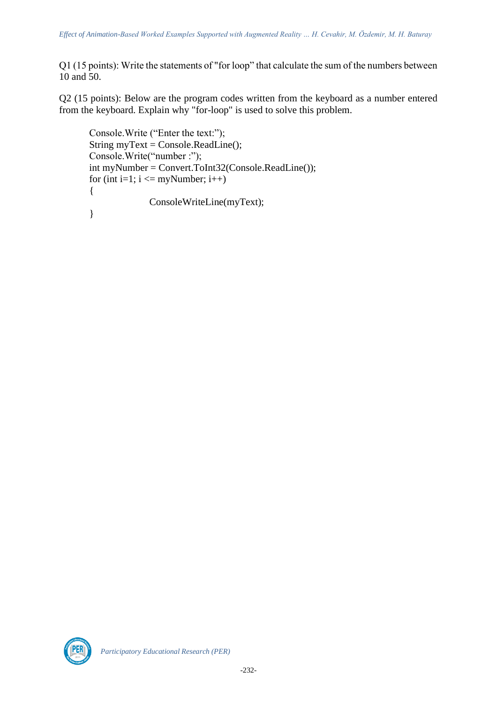Q1 (15 points): Write the statements of "for loop" that calculate the sum of the numbers between 10 and 50.

Q2 (15 points): Below are the program codes written from the keyboard as a number entered from the keyboard. Explain why "for-loop" is used to solve this problem.

```
Console.Write ("Enter the text:");
String myText = Console.ReadLine();
Console.Write("number :");
int myNumber = Convert.ToInt32(Console.ReadLine());
for (int i=1; i \le myNumber; i++)
{
              ConsoleWriteLine(myText);
}
```
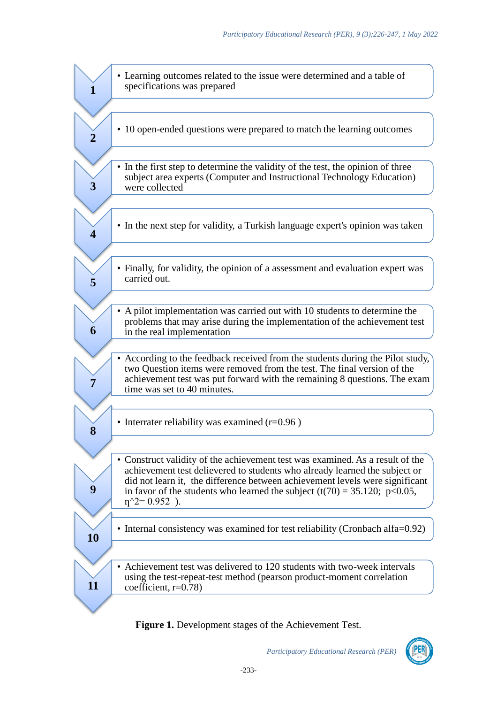|                         | • Learning outcomes related to the issue were determined and a table of<br>specifications was prepared                                                                                                                                                                                                                                                                        |
|-------------------------|-------------------------------------------------------------------------------------------------------------------------------------------------------------------------------------------------------------------------------------------------------------------------------------------------------------------------------------------------------------------------------|
| $\overline{\mathbf{2}}$ | • 10 open-ended questions were prepared to match the learning outcomes                                                                                                                                                                                                                                                                                                        |
| 3                       | • In the first step to determine the validity of the test, the opinion of three<br>subject area experts (Computer and Instructional Technology Education)<br>were collected                                                                                                                                                                                                   |
| 4                       | • In the next step for validity, a Turkish language expert's opinion was taken                                                                                                                                                                                                                                                                                                |
| 5                       | • Finally, for validity, the opinion of a assessment and evaluation expert was<br>carried out.                                                                                                                                                                                                                                                                                |
| 6                       | A pilot implementation was carried out with 10 students to determine the<br>problems that may arise during the implementation of the achievement test<br>in the real implementation                                                                                                                                                                                           |
| 7                       | According to the feedback received from the students during the Pilot study,<br>two Question items were removed from the test. The final version of the<br>achievement test was put forward with the remaining 8 questions. The exam<br>time was set to 40 minutes.                                                                                                           |
| 8                       | • Interrater reliability was examined $(r=0.96)$                                                                                                                                                                                                                                                                                                                              |
| 9                       | Construct validity of the achievement test was examined. As a result of the<br>achievement test delievered to students who already learned the subject or<br>did not learn it, the difference between achievement levels were significant<br>in favor of the students who learned the subject $(t(70) = 35.120; p<0.05,$<br>$\eta$ <sup><math>\gamma</math></sup> 2= 0.952 ). |
| 10                      | • Internal consistency was examined for test reliability (Cronbach alfa=0.92)                                                                                                                                                                                                                                                                                                 |
| 11                      | Achievement test was delivered to 120 students with two-week intervals<br>using the test-repeat-test method (pearson product-moment correlation<br>coefficient, $r=0.78$ )                                                                                                                                                                                                    |
|                         |                                                                                                                                                                                                                                                                                                                                                                               |

**Figure 1.** Development stages of the Achievement Test.

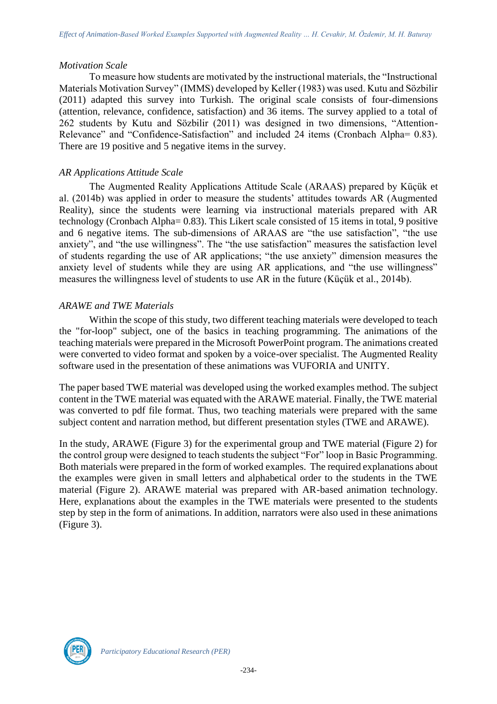#### *Motivation Scale*

To measure how students are motivated by the instructional materials, the "Instructional Materials Motivation Survey" (IMMS) developed by Keller (1983) was used. Kutu and Sözbilir (2011) adapted this survey into Turkish. The original scale consists of four-dimensions (attention, relevance, confidence, satisfaction) and 36 items. The survey applied to a total of 262 students by Kutu and Sözbilir (2011) was designed in two dimensions, "Attention-Relevance" and "Confidence-Satisfaction" and included 24 items (Cronbach Alpha= 0.83). There are 19 positive and 5 negative items in the survey.

# *AR Applications Attitude Scale*

The Augmented Reality Applications Attitude Scale (ARAAS) prepared by Küçük et al. (2014b) was applied in order to measure the students' attitudes towards AR (Augmented Reality), since the students were learning via instructional materials prepared with AR technology (Cronbach Alpha= 0.83). This Likert scale consisted of 15 items in total, 9 positive and 6 negative items. The sub-dimensions of ARAAS are "the use satisfaction", "the use anxiety", and "the use willingness". The "the use satisfaction" measures the satisfaction level of students regarding the use of AR applications; "the use anxiety" dimension measures the anxiety level of students while they are using AR applications, and "the use willingness" measures the willingness level of students to use AR in the future (Küçük et al., 2014b).

# *ARAWE and TWE Materials*

Within the scope of this study, two different teaching materials were developed to teach the "for-loop" subject, one of the basics in teaching programming. The animations of the teaching materials were prepared in the Microsoft PowerPoint program. The animations created were converted to video format and spoken by a voice-over specialist. The Augmented Reality software used in the presentation of these animations was VUFORIA and UNITY.

The paper based TWE material was developed using the worked examples method. The subject content in the TWE material was equated with the ARAWE material. Finally, the TWE material was converted to pdf file format. Thus, two teaching materials were prepared with the same subject content and narration method, but different presentation styles (TWE and ARAWE).

In the study, ARAWE (Figure 3) for the experimental group and TWE material (Figure 2) for the control group were designed to teach students the subject "For" loop in Basic Programming. Both materials were prepared in the form of worked examples. The required explanations about the examples were given in small letters and alphabetical order to the students in the TWE material (Figure 2). ARAWE material was prepared with AR-based animation technology. Here, explanations about the examples in the TWE materials were presented to the students step by step in the form of animations. In addition, narrators were also used in these animations (Figure 3).

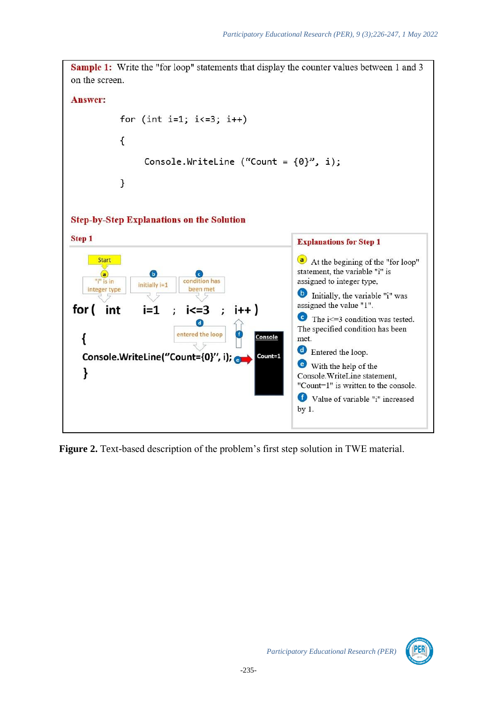**Sample 1:** Write the "for loop" statements that display the counter values between 1 and 3 on the screen. **Answer:** for (int i=1;  $i<=3$ ;  $i++)$  $\mathcal{L}_{\mathcal{L}}$ Console.WriteLine ("Count =  $\{0\}$ ", i);  $\mathcal{F}$ **Step-by-Step Explanations on the Solution** Step 1 **Explanations for Step 1** Start a) At the begining of the "for loop" statement, the variable "i" is  $\circledast$ **G** (c assigned to integer type, condition has "i" is in initially i=1 been met integer type **D** Initially, the variable "i" was assigned the value "1". for (  $i=1$  $i \lt = 3$ int  $i++$  $\bullet$  The i <= 3 condition was tested. G) The specified condition has been entered the loop Console ł met. **C** Entered the loop. Console.WriteLine("Count={0}", i); Count=1 With the help of the ł Console.WriteLine statement. "Count=1" is written to the console. Value of variable "i" increased  $by<sub>1</sub>$ .

**Figure 2.** Text-based description of the problem's first step solution in TWE material.

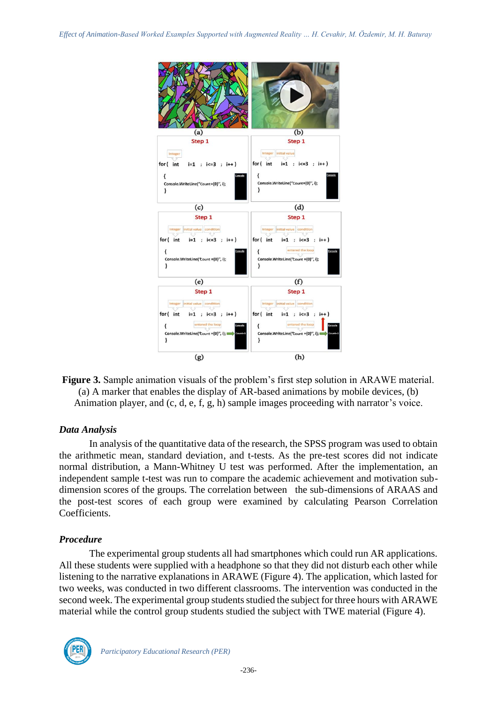

**Figure 3.** Sample animation visuals of the problem's first step solution in ARAWE material. (a) A marker that enables the display of AR-based animations by mobile devices, (b) Animation player, and (c, d, e, f, g, h) sample images proceeding with narrator's voice.

# *Data Analysis*

In analysis of the quantitative data of the research, the SPSS program was used to obtain the arithmetic mean, standard deviation, and t-tests. As the pre-test scores did not indicate normal distribution, a Mann-Whitney U test was performed. After the implementation, an independent sample t-test was run to compare the academic achievement and motivation subdimension scores of the groups. The correlation between the sub-dimensions of ARAAS and the post-test scores of each group were examined by calculating Pearson Correlation Coefficients.

#### *Procedure*

The experimental group students all had smartphones which could run AR applications. All these students were supplied with a headphone so that they did not disturb each other while listening to the narrative explanations in ARAWE (Figure 4). The application, which lasted for two weeks, was conducted in two different classrooms. The intervention was conducted in the second week. The experimental group students studied the subject for three hours with ARAWE material while the control group students studied the subject with TWE material (Figure 4).

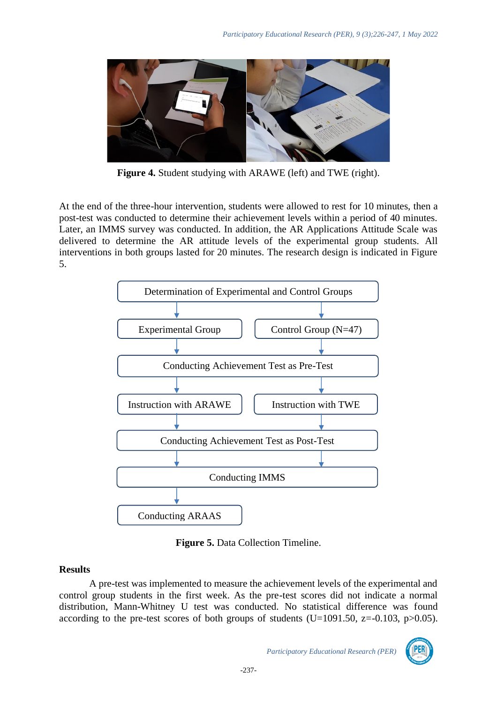

**Figure 4.** Student studying with ARAWE (left) and TWE (right).

At the end of the three-hour intervention, students were allowed to rest for 10 minutes, then a post-test was conducted to determine their achievement levels within a period of 40 minutes. Later, an IMMS survey was conducted. In addition, the AR Applications Attitude Scale was delivered to determine the AR attitude levels of the experimental group students. All interventions in both groups lasted for 20 minutes. The research design is indicated in Figure 5.



**Figure 5.** Data Collection Timeline.

# **Results**

A pre-test was implemented to measure the achievement levels of the experimental and control group students in the first week. As the pre-test scores did not indicate a normal distribution, Mann-Whitney U test was conducted. No statistical difference was found according to the pre-test scores of both groups of students (U=1091.50,  $z=-0.103$ ,  $p>0.05$ ).

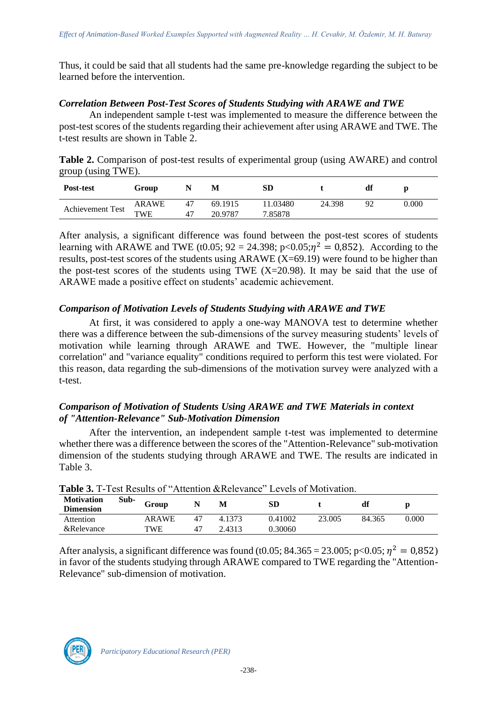Thus, it could be said that all students had the same pre-knowledge regarding the subject to be learned before the intervention.

#### *Correlation Between Post-Test Scores of Students Studying with ARAWE and TWE*

An independent sample t-test was implemented to measure the difference between the post-test scores of the students regarding their achievement after using ARAWE and TWE. The t-test results are shown in Table 2.

**Table 2.** Comparison of post-test results of experimental group (using AWARE) and control group (using TWE).

| Post-test        | Group      |    | M       | SD      |        | df       |       |
|------------------|------------|----|---------|---------|--------|----------|-------|
| Achievement Test | ARAWE      | 47 | 69.1915 | 1.03480 | 24.398 | $\Omega$ | 0.000 |
|                  | <b>TWE</b> | 47 | 20.9787 | 7.85878 |        |          |       |

After analysis, a significant difference was found between the post-test scores of students learning with ARAWE and TWE (t0.05;  $92 = 24.398$ ;  $p < 0.05$ ; $\eta^2 = 0.852$ ). According to the results, post-test scores of the students using ARAWE  $(X=69.19)$  were found to be higher than the post-test scores of the students using TWE  $(X=20.98)$ . It may be said that the use of ARAWE made a positive effect on students' academic achievement.

# *Comparison of Motivation Levels of Students Studying with ARAWE and TWE*

At first, it was considered to apply a one-way MANOVA test to determine whether there was a difference between the sub-dimensions of the survey measuring students' levels of motivation while learning through ARAWE and TWE. However, the "multiple linear correlation" and "variance equality" conditions required to perform this test were violated. For this reason, data regarding the sub-dimensions of the motivation survey were analyzed with a t-test.

# *Comparison of Motivation of Students Using ARAWE and TWE Materials in context of "Attention-Relevance" Sub-Motivation Dimension*

After the intervention, an independent sample t-test was implemented to determine whether there was a difference between the scores of the "Attention-Relevance" sub-motivation dimension of the students studying through ARAWE and TWE. The results are indicated in Table 3.

| <b>Table 3.</b> T-Test Results of "Attention &Relevance" Levels of Motivation. |      |              |    |        |         |        |        |       |
|--------------------------------------------------------------------------------|------|--------------|----|--------|---------|--------|--------|-------|
| <b>Motivation</b><br><b>Dimension</b>                                          | Sub- | Group        |    | M      | SD      |        | df     |       |
| Attention                                                                      |      | <b>ARAWE</b> | 47 | 4.1373 | 0.41002 | 23.005 | 84.365 | 0.000 |
| &Relevance                                                                     |      | TWE          |    | 2.4313 | 0.30060 |        |        |       |

 $T_{\rm T}$  Test  $\overline{R}_{\rm T}$   $T_{\rm T}$   $T_{\rm T}$   $T_{\rm T}$   $T_{\rm T}$   $T_{\rm T}$   $T_{\rm T}$   $T_{\rm T}$   $T_{\rm T}$   $T_{\rm T}$   $T_{\rm T}$   $T_{\rm T}$   $T_{\rm T}$   $T_{\rm T}$   $T_{\rm T}$   $T_{\rm T}$   $T_{\rm T}$   $T_{\rm T}$   $T_{\rm T}$   $T_{\rm T}$   $T_{\rm T}$   $T_{\rm T}$   $T_{\rm$ 

After analysis, a significant difference was found (t0.05; 84.365 = 23.005; p<0.05;  $\eta^2 = 0.852$ ) in favor of the students studying through ARAWE compared to TWE regarding the "Attention-Relevance" sub-dimension of motivation.

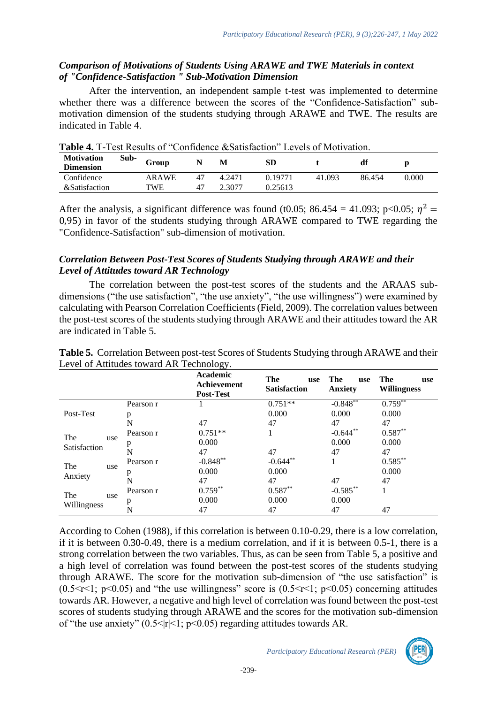# *Comparison of Motivations of Students Using ARAWE and TWE Materials in context of "Confidence-Satisfaction " Sub-Motivation Dimension*

After the intervention, an independent sample t-test was implemented to determine whether there was a difference between the scores of the "Confidence-Satisfaction" submotivation dimension of the students studying through ARAWE and TWE. The results are indicated in Table 4.

| <b>Table 4.</b> T-Test Results of "Confidence & Satisfaction" Levels of Motivation. |      |       |    |        |         |        |        |       |
|-------------------------------------------------------------------------------------|------|-------|----|--------|---------|--------|--------|-------|
| <b>Motivation</b><br><b>Dimension</b>                                               | Sub- | Group |    | M      | SD      |        | df     | D     |
| Confidence                                                                          |      | ARAWE | 47 | 4.2471 | 0.19771 | 41.093 | 86 454 | 0.000 |
| &Satisfaction                                                                       |      | TWE   | 47 | 2.3077 | 0.25613 |        |        |       |

 $T_{\rm eff} = 0.64$  T-Test  $T_{\rm eff} = 0.04$  ( $T_{\rm eff} = 0.004$ )  $T_{\rm eff} = 0.004$  Levels of Motivation.

After the analysis, a significant difference was found (t0.05; 86.454 = 41.093; p<0.05;  $\eta^2$  = 0,95) in favor of the students studying through ARAWE compared to TWE regarding the "Confidence-Satisfaction" sub-dimension of motivation.

# *Correlation Between Post-Test Scores of Students Studying through ARAWE and their Level of Attitudes toward AR Technology*

The correlation between the post-test scores of the students and the ARAAS subdimensions ("the use satisfaction", "the use anxiety", "the use willingness") were examined by calculating with Pearson Correlation Coefficients (Field, 2009). The correlation values between the post-test scores of the students studying through ARAWE and their attitudes toward the AR are indicated in Table 5.

|                       | <b>Post-Test</b> |            | The<br>use<br><b>Satisfaction</b> | The<br>use<br><b>Anxiety</b> | The<br>use<br><b>Willingness</b> |
|-----------------------|------------------|------------|-----------------------------------|------------------------------|----------------------------------|
|                       | Pearson r        |            | $0.751**$                         | $-0.848**$                   | $0.759^{**}$                     |
| Post-Test             | p                |            | 0.000                             | 0.000                        | 0.000                            |
|                       | N                | 47         | 47                                | 47                           | 47                               |
| The<br>use            | Pearson r        | $0.751**$  |                                   | $-0.644***$                  | $0.587**$                        |
|                       | p                | 0.000      |                                   | 0.000                        | 0.000                            |
| Satisfaction          | N                | 47         | 47                                | 47                           | 47                               |
| The<br>use<br>Anxiety | Pearson r        | $-0.848**$ | $-0.644**$                        |                              | $0.585***$                       |
|                       | p                | 0.000      | 0.000                             |                              | 0.000                            |
|                       | N                | 47         | 47                                | 47                           | 47                               |
| The                   | Pearson r        | $0.759**$  | $0.587**$                         | $-0.585**$                   |                                  |
| use                   | p                | 0.000      | 0.000                             | 0.000                        |                                  |
| Willingness           |                  | 47         | 47                                | 47                           | 47                               |

**Table 5.** Correlation Between post-test Scores of Students Studying through ARAWE and their Level of Attitudes toward AR Technology.

According to Cohen (1988), if this correlation is between 0.10-0.29, there is a low correlation, if it is between 0.30-0.49, there is a medium correlation, and if it is between 0.5-1, there is a strong correlation between the two variables. Thus, as can be seen from Table 5, a positive and a high level of correlation was found between the post-test scores of the students studying through ARAWE. The score for the motivation sub-dimension of "the use satisfaction" is (0.5 $\leq$ r $\leq$ 1; p $\leq$ 0.05) and "the use willingness" score is (0.5 $\leq$ r $\leq$ 1; p $\leq$ 0.05) concerning attitudes towards AR. However, a negative and high level of correlation was found between the post-test scores of students studying through ARAWE and the scores for the motivation sub-dimension of "the use anxiety"  $(0.5<|r|<1; p<0.05)$  regarding attitudes towards AR.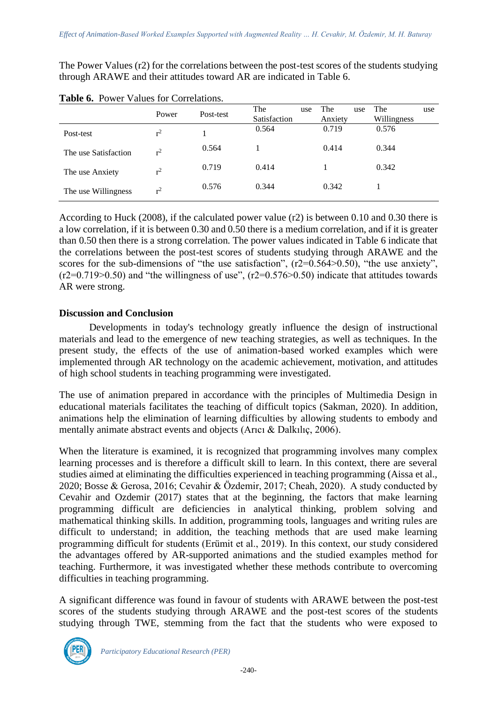The Power Values (r2) for the correlations between the post-test scores of the students studying through ARAWE and their attitudes toward AR are indicated in Table 6.

|                      | Power          | Post-test | The<br>Satisfaction | use | The<br>Anxiety | use | The<br>Willingness | use |
|----------------------|----------------|-----------|---------------------|-----|----------------|-----|--------------------|-----|
| Post-test            | $r^2$          |           | 0.564               |     | 0.719          |     | 0.576              |     |
| The use Satisfaction | r <sup>2</sup> | 0.564     |                     |     | 0.414          |     | 0.344              |     |
| The use Anxiety      | $r^2$          | 0.719     | 0.414               |     |                |     | 0.342              |     |
| The use Willingness  | r <sup>2</sup> | 0.576     | 0.344               |     | 0.342          |     |                    |     |

**Table 6.** Power Values for Correlations.

According to Huck (2008), if the calculated power value (r2) is between 0.10 and 0.30 there is a low correlation, if it is between 0.30 and 0.50 there is a medium correlation, and if it is greater than 0.50 then there is a strong correlation. The power values indicated in Table 6 indicate that the correlations between the post-test scores of students studying through ARAWE and the scores for the sub-dimensions of "the use satisfaction",  $(r2=0.564>0.50)$ , "the use anxiety",  $(r2=0.719>0.50)$  and "the willingness of use",  $(r2=0.576>0.50)$  indicate that attitudes towards AR were strong.

#### **Discussion and Conclusion**

Developments in today's technology greatly influence the design of instructional materials and lead to the emergence of new teaching strategies, as well as techniques. In the present study, the effects of the use of animation-based worked examples which were implemented through AR technology on the academic achievement, motivation, and attitudes of high school students in teaching programming were investigated.

The use of animation prepared in accordance with the principles of Multimedia Design in educational materials facilitates the teaching of difficult topics (Sakman, 2020). In addition, animations help the elimination of learning difficulties by allowing students to embody and mentally animate abstract events and objects (Arıcı & Dalkılıç, 2006).

When the literature is examined, it is recognized that programming involves many complex learning processes and is therefore a difficult skill to learn. In this context, there are several studies aimed at eliminating the difficulties experienced in teaching programming (Aissa et al., 2020; Bosse & Gerosa, 2016; Cevahir & Özdemir, 2017; Cheah, 2020). A study conducted by Cevahir and Ozdemir (2017) states that at the beginning, the factors that make learning programming difficult are deficiencies in analytical thinking, problem solving and mathematical thinking skills. In addition, programming tools, languages and writing rules are difficult to understand; in addition, the teaching methods that are used make learning programming difficult for students (Erümit et al., 2019). In this context, our study considered the advantages offered by AR-supported animations and the studied examples method for teaching. Furthermore, it was investigated whether these methods contribute to overcoming difficulties in teaching programming.

A significant difference was found in favour of students with ARAWE between the post-test scores of the students studying through ARAWE and the post-test scores of the students studying through TWE, stemming from the fact that the students who were exposed to

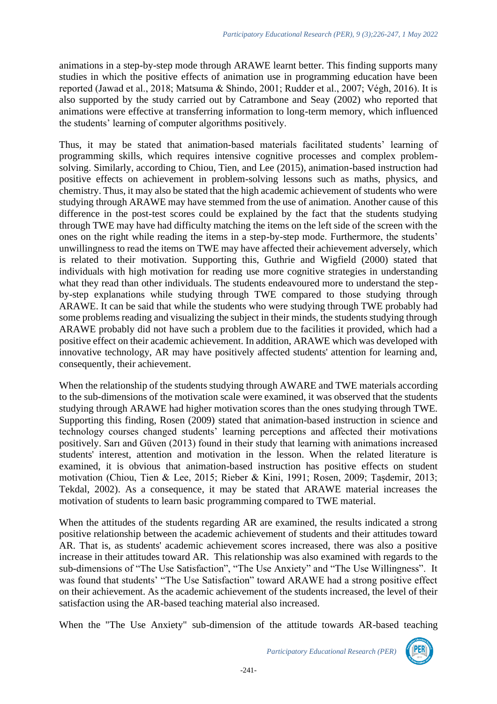animations in a step-by-step mode through ARAWE learnt better. This finding supports many studies in which the positive effects of animation use in programming education have been reported (Jawad et al., 2018; Matsuma & Shindo, 2001; Rudder et al., 2007; Végh, 2016). It is also supported by the study carried out by Catrambone and Seay (2002) who reported that animations were effective at transferring information to long-term memory, which influenced the students' learning of computer algorithms positively.

Thus, it may be stated that animation-based materials facilitated students' learning of programming skills, which requires intensive cognitive processes and complex problemsolving. Similarly, according to Chiou, Tien, and Lee (2015), animation-based instruction had positive effects on achievement in problem-solving lessons such as maths, physics, and chemistry. Thus, it may also be stated that the high academic achievement of students who were studying through ARAWE may have stemmed from the use of animation. Another cause of this difference in the post-test scores could be explained by the fact that the students studying through TWE may have had difficulty matching the items on the left side of the screen with the ones on the right while reading the items in a step-by-step mode. Furthermore, the students' unwillingness to read the items on TWE may have affected their achievement adversely, which is related to their motivation. Supporting this, Guthrie and Wigfield (2000) stated that individuals with high motivation for reading use more cognitive strategies in understanding what they read than other individuals. The students endeavoured more to understand the stepby-step explanations while studying through TWE compared to those studying through ARAWE. It can be said that while the students who were studying through TWE probably had some problems reading and visualizing the subject in their minds, the students studying through ARAWE probably did not have such a problem due to the facilities it provided, which had a positive effect on their academic achievement. In addition, ARAWE which was developed with innovative technology, AR may have positively affected students' attention for learning and, consequently, their achievement.

When the relationship of the students studying through AWARE and TWE materials according to the sub-dimensions of the motivation scale were examined, it was observed that the students studying through ARAWE had higher motivation scores than the ones studying through TWE. Supporting this finding, Rosen (2009) stated that animation-based instruction in science and technology courses changed students' learning perceptions and affected their motivations positively. Sarı and Güven (2013) found in their study that learning with animations increased students' interest, attention and motivation in the lesson. When the related literature is examined, it is obvious that animation-based instruction has positive effects on student motivation (Chiou, Tien & Lee, 2015; Rieber & Kini, 1991; Rosen, 2009; Taşdemir, 2013; Tekdal, 2002). As a consequence, it may be stated that ARAWE material increases the motivation of students to learn basic programming compared to TWE material.

When the attitudes of the students regarding AR are examined, the results indicated a strong positive relationship between the academic achievement of students and their attitudes toward AR. That is, as students' academic achievement scores increased, there was also a positive increase in their attitudes toward AR. This relationship was also examined with regards to the sub-dimensions of "The Use Satisfaction", "The Use Anxiety" and "The Use Willingness". It was found that students' "The Use Satisfaction" toward ARAWE had a strong positive effect on their achievement. As the academic achievement of the students increased, the level of their satisfaction using the AR-based teaching material also increased.

When the "The Use Anxiety" sub-dimension of the attitude towards AR-based teaching

*Participatory Educational Research (PER)*

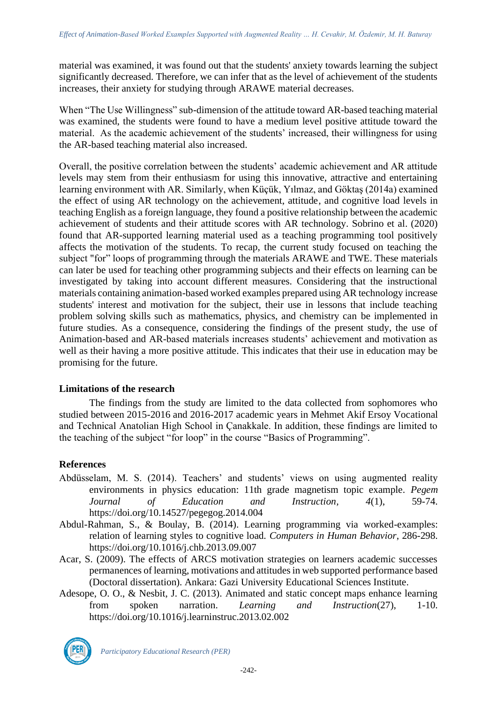material was examined, it was found out that the students' anxiety towards learning the subject significantly decreased. Therefore, we can infer that as the level of achievement of the students increases, their anxiety for studying through ARAWE material decreases.

When "The Use Willingness" sub-dimension of the attitude toward AR-based teaching material was examined, the students were found to have a medium level positive attitude toward the material. As the academic achievement of the students' increased, their willingness for using the AR-based teaching material also increased.

Overall, the positive correlation between the students' academic achievement and AR attitude levels may stem from their enthusiasm for using this innovative, attractive and entertaining learning environment with AR. Similarly, when Küçük, Yılmaz, and Göktaş (2014a) examined the effect of using AR technology on the achievement, attitude, and cognitive load levels in teaching English as a foreign language, they found a positive relationship between the academic achievement of students and their attitude scores with AR technology. Sobrino et al. (2020) found that AR-supported learning material used as a teaching programming tool positively affects the motivation of the students. To recap, the current study focused on teaching the subject "for" loops of programming through the materials ARAWE and TWE. These materials can later be used for teaching other programming subjects and their effects on learning can be investigated by taking into account different measures. Considering that the instructional materials containing animation-based worked examples prepared using AR technology increase students' interest and motivation for the subject, their use in lessons that include teaching problem solving skills such as mathematics, physics, and chemistry can be implemented in future studies. As a consequence, considering the findings of the present study, the use of Animation-based and AR-based materials increases students' achievement and motivation as well as their having a more positive attitude. This indicates that their use in education may be promising for the future.

# **Limitations of the research**

The findings from the study are limited to the data collected from sophomores who studied between 2015-2016 and 2016-2017 academic years in Mehmet Akif Ersoy Vocational and Technical Anatolian High School in Çanakkale. In addition, these findings are limited to the teaching of the subject "for loop" in the course "Basics of Programming".

# **References**

- Abdüsselam, M. S. (2014). Teachers' and students' views on using augmented reality environments in physics education: 11th grade magnetism topic example. *Pegem Journal of Education and Instruction, 4*(1), 59-74. <https://doi.org/10.14527/pegegog.2014.004>
- Abdul-Rahman, S., & Boulay, B. (2014). Learning programming via worked-examples: relation of learning styles to cognitive load. *Computers in Human Behavior*, 286-298. <https://doi.org/10.1016/j.chb.2013.09.007>
- Acar, S. (2009). The effects of ARCS motivation strategies on learners academic successes permanences of learning, motivations and attitudes in web supported performance based (Doctoral dissertation). Ankara: Gazi University Educational Sciences Institute.
- Adesope, O. O., & Nesbit, J. C. (2013). Animated and static concept maps enhance learning from spoken narration. *Learning and Instruction*(27), 1-10. [https://doi.org/10.1016/j.learninstruc.2013.02.002](https://psycnet.apa.org/doi/10.1016/j.learninstruc.2013.02.002)



*Participatory Educational Research (PER)*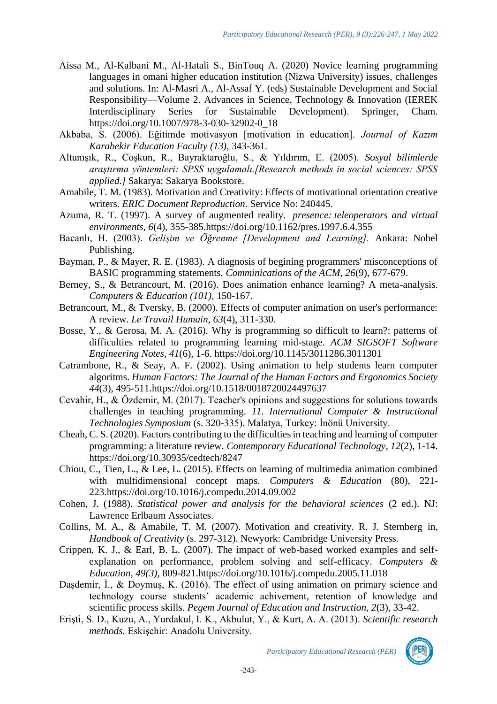- Aissa M., Al-Kalbani M., Al-Hatali S., BinTouq A. (2020) Novice learning programming languages in omani higher education institution (Nizwa University) issues, challenges and solutions. In: Al-Masri A., Al-Assaf Y. (eds) Sustainable Development and Social Responsibility—Volume 2. Advances in Science, Technology & Innovation (IEREK Interdisciplinary Series for Sustainable Development). Springer, Cham. [https://doi.org/10.1007/978-3-030-32902-0\\_18](https://doi.org/10.1007/978-3-030-32902-0_18)
- Akbaba, S. (2006). Eğitimde motivasyon [motivation in education]. *Journal of Kazım Karabekir Education Faculty (13),* 343-361.
- Altunışık, R., Coşkun, R., Bayraktaroğlu, S., & Yıldırım, E. (2005). *Sosyal bilimlerde araştırma yöntemleri: SPSS uygulamalı.[Research methods in social sciences: SPSS applied.]* Sakarya: Sakarya Bookstore.
- Amabile, T. M. (1983). Motivation and Creativity: Effects of motivational orientation creative writers. *ERIC Document Reproduction*. Service No: 240445.
- Azuma, R. T. (1997). A survey of augmented reality. *presence: teleoperators and virtual environments, 6*(4), 355-385[.https://doi.org/10.1162/pres.1997.6.4.355](https://doi.org/10.1162/pres.1997.6.4.355)
- Bacanlı, H. (2003). *Gelişim ve Öğrenme [Development and Learning].* Ankara: Nobel Publishing.
- Bayman, P., & Mayer, R. E. (1983). A diagnosis of begining programmers' misconceptions of BASIC programming statements. *Comminications of the ACM, 26*(9), 677-679.
- Berney, S., & Betrancourt, M. (2016). Does animation enhance learning? A meta-analysis. *Computers & Education (101),* 150-167.
- [Betrancourt, M., & Tversky, B. \(2000\). Effects of computer animation on user's performance:](https://www.researchgate.net/publication/232606237_Effect_of_computer_animation_on_users) [A review.](https://www.researchgate.net/publication/232606237_Effect_of_computer_animation_on_users) *[Le Travail Humain, 63](https://www.researchgate.net/publication/232606237_Effect_of_computer_animation_on_users)*[\(4\), 311-330.](https://www.researchgate.net/publication/232606237_Effect_of_computer_animation_on_users)
- Bosse, Y., & Gerosa, M. A. (2016). Why is programming so difficult to learn?: patterns of difficulties related to programming learning mid-stage. *ACM SIGSOFT Software Engineering Notes, 41*(6), 1-6. <https://doi.org/10.1145/3011286.3011301>
- Catrambone, R., & Seay, A. F. (2002). Using animation to help students learn computer algoritms. *Human Factors: The Journal of the Human Factors and Ergonomics Society 44*(3), 495-511[.https://doi.org/10.1518/0018720024497637](https://doi.org/10.1518/0018720024497637)
- Cevahir, H., & Özdemir, M. (2017). Teacher's opinions and suggestions for solutions towards challenges in teaching programming. *11. International Computer & Instructional Technologies Symposium* (s. 320-335). Malatya, Turkey: İnönü University.
- Cheah, C. S. (2020). Factors contributing to the difficulties in teaching and learning of computer programming: a literature review. *Contemporary Educational Technology, 12*(2), 1-14. https://doi.org/10.30935/cedtech/8247
- Chiou, C., Tien, L., & Lee, L. (2015). Effects on learning of multimedia animation combined with multidimensional concept maps. *Computers & Education* (80), 221- 223[.https://doi.org/10.1016/j.compedu.2014.09.002](https://doi.org/10.1016/j.compedu.2014.09.002)
- Cohen, J. (1988). *Statistical power and analysis for the behavioral sciences* (2 ed.). NJ: Lawrence Erlbaum Associates.
- Collins, M. A., & Amabile, T. M. (2007). Motivation and creativity. R. J. Sternberg in, *Handbook of Creativity* (s. 297-312). Newyork: Cambridge University Press.
- Crippen, K. J., & Earl, B. L. (2007). The impact of web-based worked examples and selfexplanation on performance, problem solving and self-efficacy. *Computers & Education, 49(3)*, 809-821[.https://doi.org/10.1016/j.compedu.2005.11.018](https://doi.org/10.1016/j.compedu.2005.11.018)
- Dasdemir, I., & Doymus, K. (2016). The effect of using animation on primary science and technology course students' academic achivement, retention of knowledge and scientific process skills. *Pegem Journal of Education and Instruction, 2*(3), 33-42.
- Erişti, S. D., Kuzu, A., Yurdakul, I. K., Akbulut, Y., & Kurt, A. A. (2013). *Scientific research methods.* Eskişehir: Anadolu University.

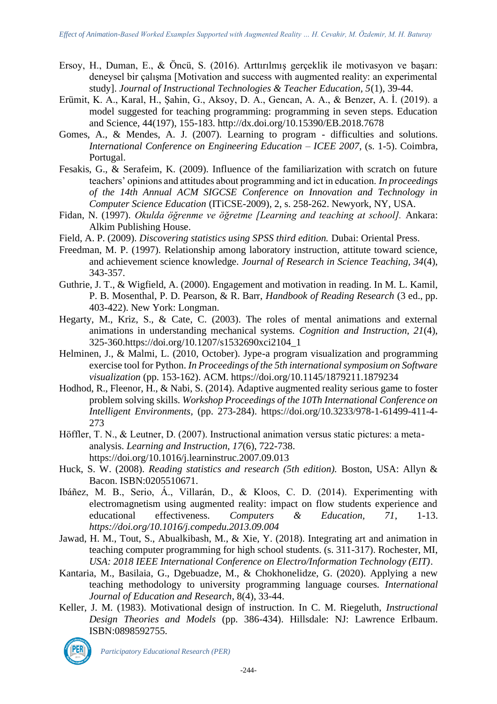- Ersoy, H., Duman, E., & Öncü, S. (2016). Arttırılmış gerçeklik ile motivasyon ve başarı: deneysel bir çalışma [Motivation and success with augmented reality: an experimental study]. *Journal of Instructional Technologies & Teacher Education, 5*(1), 39-44.
- Erümit, K. A., Karal, H., Şahin, G., Aksoy, D. A., Gencan, A. A., & Benzer, A. İ. (2019). a model suggested for teaching programming: programming in seven steps. Education and Science, 44(197), 155-183.<http://dx.doi.org/10.15390/EB.2018.7678>
- Gomes, A., & Mendes, A. J. (2007). Learning to program difficulties and solutions. *International Conference on Engineering Education – ICEE 2007*, (s. 1-5). Coimbra, Portugal.
- Fesakis, G., & Serafeim, K. (2009). Influence of the familiarization with scratch on future teachers' opinions and attitudes about programming and ict in education. *In proceedings of the 14th Annual ACM SIGCSE Conference on Innovation and Technology in Computer Science Education* (ITiCSE-2009), 2, s. 258-262. Newyork, NY, USA.
- Fidan, N. (1997). *Okulda öğrenme ve öğretme [Learning and teaching at school].* Ankara: Alkim Publishing House.
- Field, A. P. (2009). *Discovering statistics using SPSS third edition.* Dubai: Oriental Press.
- Freedman, M. P. (1997). Relationship among laboratory instruction, attitute toward science, and achievement science knowledge. *Journal of Research in Science Teaching, 34*(4), 343-357.
- Guthrie, J. T., & Wigfield, A. (2000). Engagement and motivation in reading. In M. L. Kamil, P. B. Mosenthal, P. D. Pearson, & R. Barr, *Handbook of Reading Research* (3 ed., pp. 403-422). New York: Longman.
- Hegarty, M., Kriz, S., & Cate, C. (2003). The roles of mental animations and external animations in understanding mechanical systems. *Cognition and Instruction, 21*(4), 325-360[.https://doi.org/10.1207/s1532690xci2104\\_1](https://doi.org/10.1207/s1532690xci2104_1)
- Helminen, J., & Malmi, L. (2010, October). Jype-a program visualization and programming exercise tool for Python. *In Proceedings of the 5th international symposium on Software visualization* (pp. 153-162). ACM.<https://doi.org/10.1145/1879211.1879234>
- Hodhod, R., Fleenor, H., & Nabi, S. (2014). Adaptive augmented reality serious game to foster problem solving skills. *Workshop Proceedings of the 10Th International Conference on Intelligent Environments,* (pp. 273-284). [https://doi.org/10.3233/978-1-61499-411-4-](https://doi.org/10.3233/978-1-61499-411-4-273) [273](https://doi.org/10.3233/978-1-61499-411-4-273)
- Höffler, T. N., & Leutner, D. (2007). Instructional animation versus static pictures: a metaanalysis. *Learning and Instruction, 17*(6), 722-738. <https://doi.org/10.1016/j.learninstruc.2007.09.013>
- Huck, S. W. (2008). *Reading statistics and research (5th edition).* Boston, USA: Allyn & Bacon. ISBN[:0205510671.](https://isbnsearch.org/isbn/0205510671)
- Ibáñez, M. B., Serio, Á., Villarán, D., & Kloos, C. D. (2014). Experimenting with electromagnetism using augmented reality: impact on flow students experience and educational effectiveness. *Computers & Education, 71*, 1-13. *<https://doi.org/10.1016/j.compedu.2013.09.004>*
- Jawad, H. M., Tout, S., Abualkibash, M., & Xie, Y. (2018). Integrating art and animation in teaching computer programming for high school students. (s. 311-317). Rochester, MI, *USA: 2018 IEEE International Conference on Electro/Information Technology (EIT)*.
- Kantaria, M., Basilaia, G., Dgebuadze, M., & Chokhonelidze, G. (2020). Applying a new teaching methodology to university programming language courses. *International Journal of Education and Research*, 8(4), 33-44.
- Keller, J. M. (1983). Motivational design of instruction. In C. M. Riegeluth, *Instructional Design Theories and Models* (pp. 386-434). Hillsdale: NJ: Lawrence Erlbaum. ISBN:0898592755.



*Participatory Educational Research (PER)*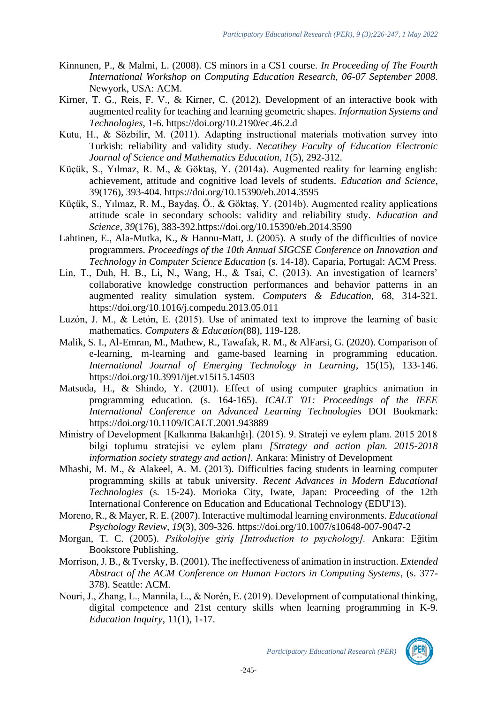- Kinnunen, P., & Malmi, L. (2008). CS minors in a CS1 course. *In Proceeding of The Fourth International Workshop on Computing Education Research, 06-07 September 2008.* Newyork, USA: ACM.
- [Kirner, T. G., Reis, F. V., & Kirner, C. \(2012\). Development of an interactive book with](http://ieeexplore.ieee.org/document/6263179/)  [augmented reality for teaching and learning geometric shapes.](http://ieeexplore.ieee.org/document/6263179/) *[Information Systems and](http://ieeexplore.ieee.org/document/6263179/)  [Technologies](http://ieeexplore.ieee.org/document/6263179/)*[, 1-6.](http://ieeexplore.ieee.org/document/6263179/) <https://doi.org/10.2190/ec.46.2.d>
- [Kutu, H., & Sözbilir, M. \(2011\). Adapting instructional materials motivation survey into](http://dergipark.ulakbim.gov.tr/balikesirnef/article/viewFile/5000084814/5000078896)  [Turkish: reliability and validity study.](http://dergipark.ulakbim.gov.tr/balikesirnef/article/viewFile/5000084814/5000078896) *[Necatibey Faculty of Education Electronic](http://dergipark.ulakbim.gov.tr/balikesirnef/article/viewFile/5000084814/5000078896)  [Journal of Science and Mathematics Education, 1](http://dergipark.ulakbim.gov.tr/balikesirnef/article/viewFile/5000084814/5000078896)*[\(5\), 292-312.](http://dergipark.ulakbim.gov.tr/balikesirnef/article/viewFile/5000084814/5000078896)
- Küçük, S., Yılmaz, R. M., & Göktaş, Y. (2014a). Augmented reality for learning english: achievement, attitude and cognitive load levels of students. *Education and Science*, 39(176), 393-404.<https://doi.org/10.15390/eb.2014.3595>
- Küçük, S., Yılmaz, R. M., Baydaş, Ö., & Göktaş, Y. (2014b). Augmented reality applications attitude scale in secondary schools: validity and reliability study. *Education and Science, 39*(176), 383-392[.https://doi.org/10.15390/eb.2014.3590](https://doi.org/10.15390/eb.2014.3590)
- Lahtinen, E., Ala-Mutka, K., & Hannu-Matt, J. (2005). A study of the difficulties of novice programmers. *Proceedings of the 10th Annual SIGCSE Conference on Innovation and Technology in Computer Science Education* (s. 14-18). Caparia, Portugal: ACM Press.
- Lin, T., Duh, H. B., Li, N., Wang, H., & Tsai, C. (2013). An investigation of learners' collaborative knowledge construction performances and behavior patterns in an augmented reality simulation system. *Computers & Education,* 68, 314-321. <https://doi.org/10.1016/j.compedu.2013.05.011>
- Luzόn, J. M., & Letόn, E. (2015). Use of animated text to improve the learning of basic mathematics. *Computers & Education*(88), 119-128.
- Malik, S. I., Al-Emran, M., Mathew, R., Tawafak, R. M., & AlFarsi, G. (2020). Comparison of e-learning, m-learning and game-based learning in programming education*. International Journal of Emerging Technology in Learning*, 15(15), 133-146. <https://doi.org/10.3991/ijet.v15i15.14503>
- Matsuda, H., & Shindo, Y. (2001). Effect of using computer graphics animation in programming education. (s. 164-165). *ICALT '01: Proceedings of the IEEE International Conference on Advanced Learning Technologies* DOI Bookmark: <https://doi.org/10.1109/ICALT.2001.943889>
- Ministry of Development [Kalkınma Bakanlığı]. (2015). 9. Strateji ve eylem planı. 2015 2018 bilgi toplumu stratejisi ve eylem planı *[Strategy and action plan. 2015-2018 information society strategy and action].* Ankara: Ministry of Development
- Mhashi, M. M., & Alakeel, A. M. (2013). Difficulties facing students in learning computer programming skills at tabuk university. *Recent Advances in Modern Educational Technologies* (s. 15-24). Morioka City, Iwate, Japan: Proceeding of the 12th International Conference on Education and Educational Technology (EDU'13).
- Moreno, R., & Mayer, R. E. (2007). Interactive multimodal learning environments. *Educational Psychology Review, 19*(3), 309-326.<https://doi.org/10.1007/s10648-007-9047-2>
- Morgan, T. C. (2005). *Psikolojiye giriş [Introduction to psychology].* Ankara: Eğitim Bookstore Publishing.
- Morrison, J. B., & Tversky, B. (2001). The ineffectiveness of animation in instruction. *Extended Abstract of the ACM Conference on Human Factors in Computing Systems*, (s. 377- 378). Seattle: ACM.
- Nouri, J., Zhang, L., Mannila, L., & Norén, E. (2019). Development of computational thinking, digital competence and 21st century skills when learning programming in K-9. *Education Inquiry*, 11(1), 1-17.



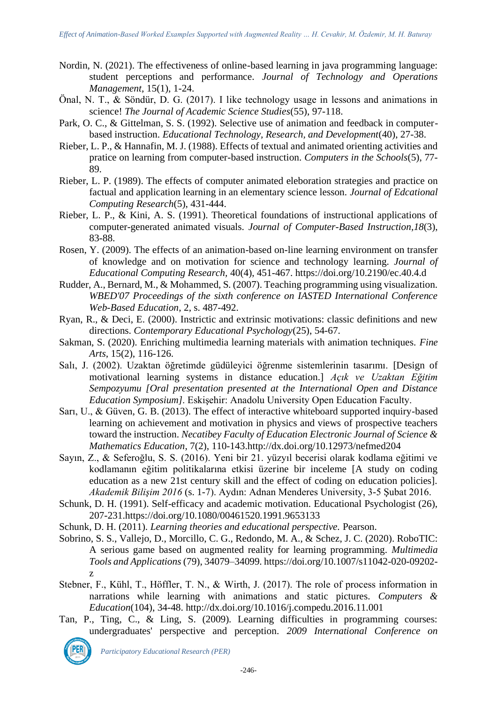- Nordin, N. (2021). The effectiveness of online-based learning in java programming language: student perceptions and performance. *Journal of Technology and Operations Management*, 15(1), 1-24.
- Önal, N. T., & Söndür, D. G. (2017). I like technology usage in lessons and animations in science! *The Journal of Academic Science Studies*(55), 97-118.
- Park, O. C., & Gittelman, S. S. (1992). Selective use of animation and feedback in computerbased instruction. *Educational Technology, Research, and Development*(40), 27-38.
- Rieber, L. P., & Hannafin, M. J. (1988). Effects of textual and animated orienting activities and pratice on learning from computer-based instruction. *Computers in the Schools*(5), 77- 89.
- Rieber, L. P. (1989). The effects of computer animated eleboration strategies and practice on factual and application learning in an elementary science lesson. *Journal of Edcational Computing Research*(5), 431-444.
- [Rieber, L. P., & Kini, A. S. \(1991\). Theoretical foundations of instructional applications of](https://www.mendeley.com/research-papers/theoretical-foundations-instructional-applications-computergenerated-animated-visuals/?utm_source=desktop&utm_medium=1.17.13&utm_campaign=open_catalog&userDocumentId=%7B4c9e7668-3a4f-4512-8071-4662f0494570%7D)  [computer-generated animated visuals.](https://www.mendeley.com/research-papers/theoretical-foundations-instructional-applications-computergenerated-animated-visuals/?utm_source=desktop&utm_medium=1.17.13&utm_campaign=open_catalog&userDocumentId=%7B4c9e7668-3a4f-4512-8071-4662f0494570%7D) *[Journal of Computer-Based Instruction,](https://www.mendeley.com/research-papers/theoretical-foundations-instructional-applications-computergenerated-animated-visuals/?utm_source=desktop&utm_medium=1.17.13&utm_campaign=open_catalog&userDocumentId=%7B4c9e7668-3a4f-4512-8071-4662f0494570%7D)18*[\(3\),](https://www.mendeley.com/research-papers/theoretical-foundations-instructional-applications-computergenerated-animated-visuals/?utm_source=desktop&utm_medium=1.17.13&utm_campaign=open_catalog&userDocumentId=%7B4c9e7668-3a4f-4512-8071-4662f0494570%7D)  [83-88.](https://www.mendeley.com/research-papers/theoretical-foundations-instructional-applications-computergenerated-animated-visuals/?utm_source=desktop&utm_medium=1.17.13&utm_campaign=open_catalog&userDocumentId=%7B4c9e7668-3a4f-4512-8071-4662f0494570%7D)
- Rosen, Y. (2009). The effects of an animation-based on-line learning environment on transfer of knowledge and on motivation for science and technology learning. *Journal of Educational Computing Research,* 40(4), 451-467.<https://doi.org/10.2190/ec.40.4.d>
- Rudder, A., Bernard, M., & Mohammed, S. (2007). Teaching programming using visualization. *WBED'07 Proceedings of the sixth conference on IASTED International Conference Web-Based Education*, 2, s. 487-492.
- Ryan, R., & Deci, E. (2000). Instrictic and extrinsic motivations: classic definitions and new directions. *Contemporary Educational Psychology*(25), 54-67.
- Sakman, S. (2020). Enriching multimedia learning materials with animation techniques. *Fine Arts*, 15(2), 116-126.
- Salı, J. (2002). Uzaktan öğretimde güdüleyici öğrenme sistemlerinin tasarımı. [Design of motivational learning systems in distance education.] *Açık ve Uzaktan Eğitim Sempozyumu [Oral presentation presented at the International Open and Distance Education Symposium]*. Eskişehir: Anadolu University Open Education Faculty.
- Sarı, U., & Güven, G. B. (2013). The effect of interactive whiteboard supported inquiry-based learning on achievement and motivation in physics and views of prospective teachers toward the instruction. *Necatibey Faculty of Education Electronic Journal of Science & Mathematics Education*, 7(2), 110-143[.http://dx.doi.org/10.12973/nefmed204](http://dx.doi.org/10.12973/nefmed204)
- Sayın, Z., & Seferoğlu, S. S. (2016). Yeni bir 21. yüzyıl becerisi olarak kodlama eğitimi ve kodlamanın eğitim politikalarına etkisi üzerine bir inceleme [A study on coding education as a new 21st century skill and the effect of coding on education policies]. *Akademik Bilişim 2016* (s. 1-7). Aydın: Adnan Menderes University, 3-5 Şubat 2016.
- Schunk, D. H. (1991). Self-efficacy and academic motivation. Educational Psychologist (26), 207-231[.https://doi.org/10.1080/00461520.1991.9653133](https://doi.org/10.1080/00461520.1991.9653133)
- Schunk, D. H. (2011). *Learning theories and educational perspective.* Pearson.
- Sobrino, S. S., Vallejo, D., Morcillo, C. G., Redondo, M. A., & Schez, J. C. (2020). RoboTIC: A serious game based on augmented reality for learning programming. *Multimedia Tools and Applications* (79), 34079–34099. [https://doi.org/10.1007/s11042-020-09202](https://doi.org/10.1007/s11042-020-09202-z) [z](https://doi.org/10.1007/s11042-020-09202-z)
- Stebner, F., Kühl, T., Höffler, T. N., & Wirth, J. (2017). The role of process information in narrations while learning with animations and static pictures. *Computers & Education*(104), 34-48.<http://dx.doi.org/10.1016/j.compedu.2016.11.001>
- Tan, P., Ting, C., & Ling, S. (2009). Learning difficulties in programming courses: undergraduates' perspective and perception. *2009 International Conference on*